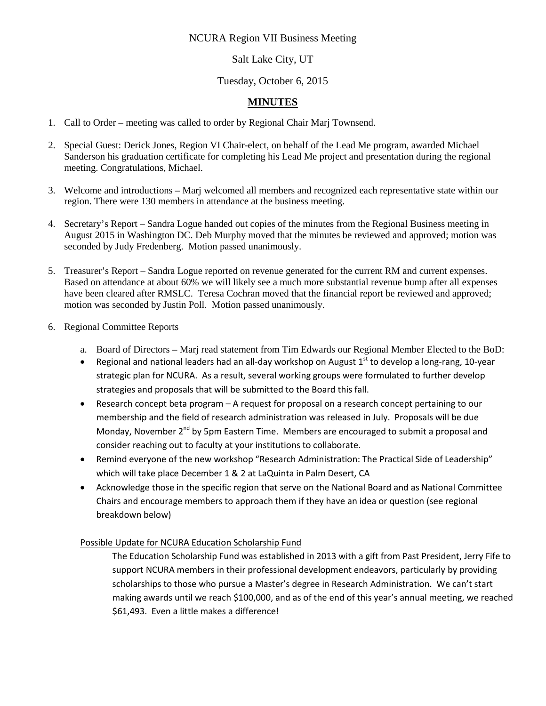## NCURA Region VII Business Meeting

# Salt Lake City, UT

# Tuesday, October 6, 2015

## **MINUTES**

- 1. Call to Order meeting was called to order by Regional Chair Marj Townsend.
- 2. Special Guest: Derick Jones, Region VI Chair-elect, on behalf of the Lead Me program, awarded Michael Sanderson his graduation certificate for completing his Lead Me project and presentation during the regional meeting. Congratulations, Michael.
- 3. Welcome and introductions Marj welcomed all members and recognized each representative state within our region. There were 130 members in attendance at the business meeting.
- 4. Secretary's Report Sandra Logue handed out copies of the minutes from the Regional Business meeting in August 2015 in Washington DC. Deb Murphy moved that the minutes be reviewed and approved; motion was seconded by Judy Fredenberg. Motion passed unanimously.
- 5. Treasurer's Report Sandra Logue reported on revenue generated for the current RM and current expenses. Based on attendance at about 60% we will likely see a much more substantial revenue bump after all expenses have been cleared after RMSLC. Teresa Cochran moved that the financial report be reviewed and approved; motion was seconded by Justin Poll. Motion passed unanimously.
- 6. Regional Committee Reports
	- a. Board of Directors Marj read statement from Tim Edwards our Regional Member Elected to the BoD:
	- Regional and national leaders had an all-day workshop on August  $1<sup>st</sup>$  to develop a long-rang, 10-year strategic plan for NCURA. As a result, several working groups were formulated to further develop strategies and proposals that will be submitted to the Board this fall.
	- Research concept beta program A request for proposal on a research concept pertaining to our membership and the field of research administration was released in July. Proposals will be due Monday, November 2<sup>nd</sup> by 5pm Eastern Time. Members are encouraged to submit a proposal and consider reaching out to faculty at your institutions to collaborate.
	- Remind everyone of the new workshop "Research Administration: The Practical Side of Leadership" which will take place December 1 & 2 at LaQuinta in Palm Desert, CA
	- Acknowledge those in the specific region that serve on the National Board and as National Committee Chairs and encourage members to approach them if they have an idea or question (see regional breakdown below)

## Possible Update for NCURA Education Scholarship Fund

The Education Scholarship Fund was established in 2013 with a gift from Past President, Jerry Fife to support NCURA members in their professional development endeavors, particularly by providing scholarships to those who pursue a Master's degree in Research Administration. We can't start making awards until we reach \$100,000, and as of the end of this year's annual meeting, we reached \$61,493. Even a little makes a difference!